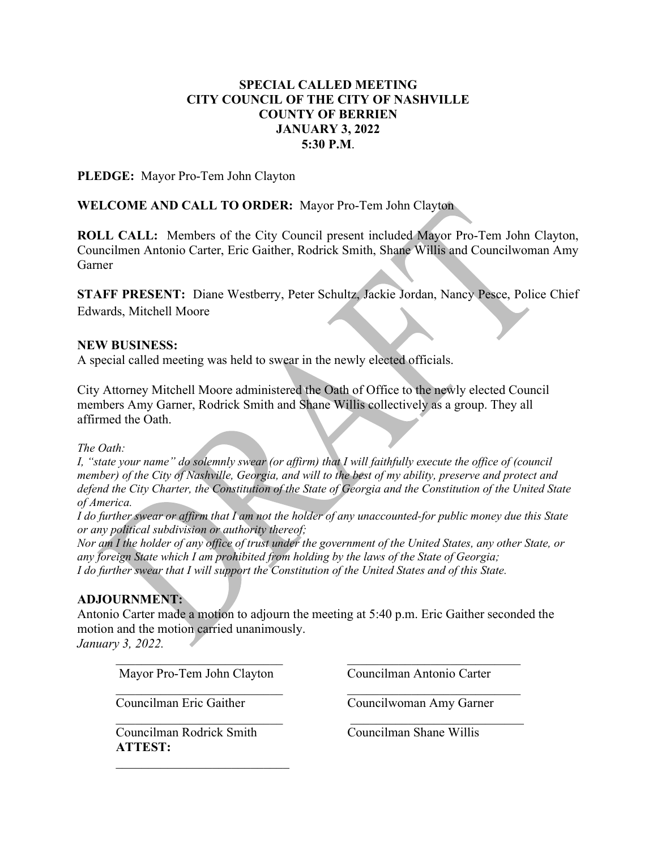# SPECIAL CALLED MEETING CITY COUNCIL OF THE CITY OF NASHVILLE COUNTY OF BERRIEN JANUARY 3, 2022 5:30 P.M.

PLEDGE: Mayor Pro-Tem John Clayton

# WELCOME AND CALL TO ORDER: Mayor Pro-Tem John Clayton

ROLL CALL: Members of the City Council present included Mayor Pro-Tem John Clayton, Councilmen Antonio Carter, Eric Gaither, Rodrick Smith, Shane Willis and Councilwoman Amy Garner

STAFF PRESENT: Diane Westberry, Peter Schultz, Jackie Jordan, Nancy Pesce, Police Chief Edwards, Mitchell Moore

### NEW BUSINESS:

A special called meeting was held to swear in the newly elected officials.

City Attorney Mitchell Moore administered the Oath of Office to the newly elected Council members Amy Garner, Rodrick Smith and Shane Willis collectively as a group. They all affirmed the Oath.

#### The Oath:

I, "state your name" do solemnly swear (or affirm) that I will faithfully execute the office of (council member) of the City of Nashville, Georgia, and will to the best of my ability, preserve and protect and defend the City Charter, the Constitution of the State of Georgia and the Constitution of the United State of America.

I do further swear or affirm that I am not the holder of any unaccounted-for public money due this State or any political subdivision or authority thereof;

Nor am I the holder of any office of trust under the government of the United States, any other State, or any foreign State which I am prohibited from holding by the laws of the State of Georgia; I do further swear that I will support the Constitution of the United States and of this State.

### ADJOURNMENT:

Antonio Carter made a motion to adjourn the meeting at 5:40 p.m. Eric Gaither seconded the motion and the motion carried unanimously.

January 3, 2022.

Mayor Pro-Tem John Clayton Councilman Antonio Carter

Councilman Eric Gaither Councilwoman Amy Garner

Councilman Rodrick Smith Councilman Shane Willis ATTEST: